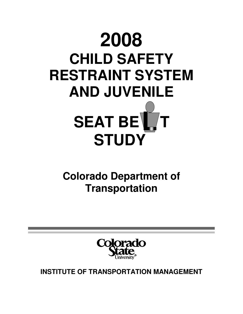

**Colorado Department of Transportation** 



**INSTITUTE OF TRANSPORTATION MANAGEMENT**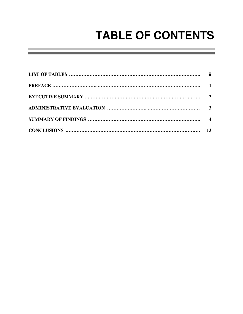# **TABLE OF CONTENTS**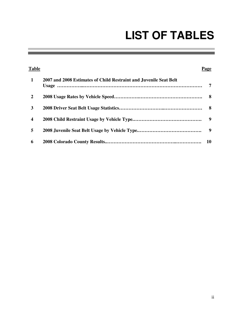# **LIST OF TABLES**

and the control of the control of the control of

| Table                   |                                                                   | Page                    |
|-------------------------|-------------------------------------------------------------------|-------------------------|
| $\mathbf{1}$            | 2007 and 2008 Estimates of Child Restraint and Juvenile Seat Belt | 7                       |
| $\overline{2}$          |                                                                   |                         |
| 3                       |                                                                   |                         |
| $\overline{\mathbf{4}}$ |                                                                   | $\overline{\mathbf{9}}$ |
| 5                       |                                                                   |                         |
| 6                       |                                                                   | 10                      |

and the control of the control of the control of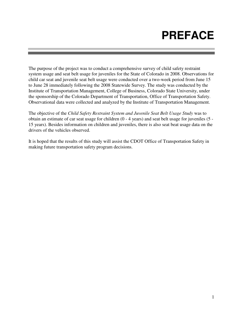# **PREFACE**

The purpose of the project was to conduct a comprehensive survey of child safety restraint system usage and seat belt usage for juveniles for the State of Colorado in 2008. Observations for child car seat and juvenile seat belt usage were conducted over a two-week period from June 15 to June 28 immediately following the 2008 Statewide Survey. The study was conducted by the Institute of Transportation Management, College of Business, Colorado State University, under the sponsorship of the Colorado Department of Transportation, Office of Transportation Safety. Observational data were collected and analyzed by the Institute of Transportation Management.

The objective of the *Child Safety Restraint System and Juvenile Seat Belt Usage Study* was to obtain an estimate of car seat usage for children (0 - 4 years) and seat belt usage for juveniles (5 - 15 years). Besides information on children and juveniles, there is also seat beat usage data on the drivers of the vehicles observed.

It is hoped that the results of this study will assist the CDOT Office of Transportation Safety in making future transportation safety program decisions.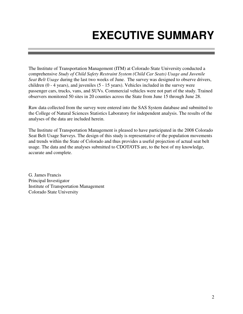# **EXECUTIVE SUMMARY**

The Institute of Transportation Management (ITM) at Colorado State University conducted a comprehensive *Study of Child Safety Restraint System (Child Car Seats) Usage and Juvenile Seat Belt Usage* during the last two weeks of June. The survey was designed to observe drivers, children (0 - 4 years), and juveniles (5 - 15 years). Vehicles included in the survey were passenger cars, trucks, vans, and SUVs. Commercial vehicles were not part of the study. Trained observers monitored 50 sites in 20 counties across the State from June 15 through June 28.

Raw data collected from the survey were entered into the SAS System database and submitted to the College of Natural Sciences Statistics Laboratory for independent analysis. The results of the analyses of the data are included herein.

The Institute of Transportation Management is pleased to have participated in the 2008 Colorado Seat Belt Usage Surveys. The design of this study is representative of the population movements and trends within the State of Colorado and thus provides a useful projection of actual seat belt usage. The data and the analyses submitted to CDOT/OTS are, to the best of my knowledge, accurate and complete.

G. James Francis Principal Investigator Institute of Transportation Management Colorado State University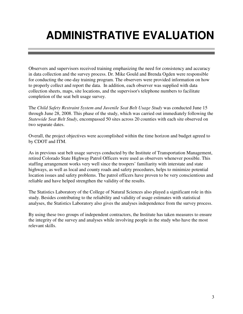# **ADMINISTRATIVE EVALUATION**

Observers and supervisors received training emphasizing the need for consistency and accuracy in data collection and the survey process. Dr. Mike Gould and Brenda Ogden were responsible for conducting the one-day training program. The observers were provided information on how to properly collect and report the data. In addition, each observer was supplied with data collection sheets, maps, site locations, and the supervisor's telephone numbers to facilitate completion of the seat belt usage survey.

The *Child Safety Restraint System and Juvenile Seat Belt Usage Study* was conducted June 15 through June 28, 2008. This phase of the study, which was carried out immediately following the *Statewide Seat Belt Study*, encompassed 50 sites across 20 counties with each site observed on two separate dates.

Overall, the project objectives were accomplished within the time horizon and budget agreed to by CDOT and ITM.

As in previous seat belt usage surveys conducted by the Institute of Transportation Management, retired Colorado State Highway Patrol Officers were used as observers whenever possible. This staffing arrangement works very well since the troopers' familiarity with interstate and state highways, as well as local and county roads and safety procedures, helps to minimize potential location issues and safety problems. The patrol officers have proven to be very conscientious and reliable and have helped strengthen the validity of the results.

The Statistics Laboratory of the College of Natural Sciences also played a significant role in this study. Besides contributing to the reliability and validity of usage estimates with statistical analyses, the Statistics Laboratory also gives the analyses independence from the survey process.

By using these two groups of independent contractors, the Institute has taken measures to ensure the integrity of the survey and analyses while involving people in the study who have the most relevant skills.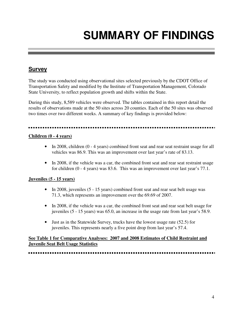# **SUMMARY OF FINDINGS**

# **Survey**

The study was conducted using observational sites selected previously by the CDOT Office of Transportation Safety and modified by the Institute of Transportation Management, Colorado State University, to reflect population growth and shifts within the State.

During this study, 8,589 vehicles were observed. The tables contained in this report detail the results of observations made at the 50 sites across 20 counties. Each of the 50 sites was observed two times over two different weeks. A summary of key findings is provided below:

#### **Children (0 - 4 years)**

- In 2008, children (0 4 years) combined front seat and rear seat restraint usage for all vehicles was 86.9. This was an improvement over last year's rate of 83.13.
- In 2008, if the vehicle was a car, the combined front seat and rear seat restraint usage for children (0 - 4 years) was 83.6. This was an improvement over last year's 77.1.

### **Juveniles (5 - 15 years)**

- In 2008, juveniles (5 15 years) combined front seat and rear seat belt usage was 71.3, which represents an improvement over the 69.69 of 2007.
- In 2008, if the vehicle was a car, the combined front seat and rear seat belt usage for juveniles (5 - 15 years) was 65.0, an increase in the usage rate from last year's 58.9.
- Just as in the Statewide Survey, trucks have the lowest usage rate (52.5) for juveniles. This represents nearly a five point drop from last year's 57.4.

### **See Table 1 for Comparative Analyses: 2007 and 2008 Estimates of Child Restraint and Juvenile Seat Belt Usage Statistics**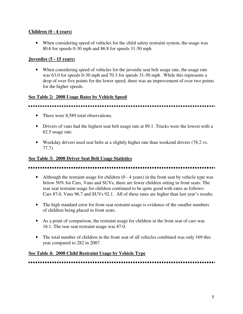### **Children (0 - 4 years)**

• When considering speed of vehicles for the child safety restraint system, the usage was 80.6 for speeds 0-30 mph and 86.8 for speeds 31-50 mph.

### **Juveniles (5 - 15 years)**

• When considering speed of vehicles for the juvenile seat belt usage rate, the usage rate was 63.0 for speeds 0-30 mph and 70.3 for speeds 31-50 mph. While this represents a drop of over five points for the lower speed, there was an improvement of over two points for the higher speeds.

### **See Table 2: 2008 Usage Rates by Vehicle Speed**

## 

- There were 8,589 total observations.
- Drivers of vans had the highest seat belt usage rate at 89.1. Trucks were the lowest with a 62.5 usage rate.
- Weekday drivers used seat belts at a slightly higher rate than weekend drivers (78.2 vs.) 77.7).

### **See Table 3: 2008 Driver Seat Belt Usage Statistics**

• Although the restraint usage for children  $(0 - 4$  years) in the front seat by vehicle type was below 50% for Cars, Vans and SUVs, there are fewer children sitting in front seats. The rear seat restraint usage for children continued to be quite good with rates as follows: Cars 87.0, Vans 96.7 and SUVs 92.1. All of these rates are higher than last year's results.

- The high standard error for front seat restraint usage is evidence of the smaller numbers of children being placed in front seats.
- As a point of comparison, the restraint usage for children in the front seat of cars was 16.1. The rear seat restraint usage was 87.0.
- The total number of children in the front seat of all vehicles combined was only 169 this year compared to 282 in 2007.

### **See Table 4: 2008 Child Restraint Usage by Vehicle Type**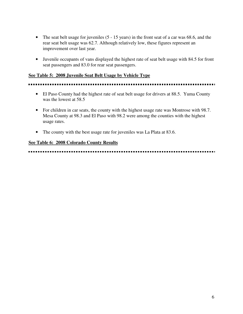- The seat belt usage for juveniles (5 15 years) in the front seat of a car was 68.6, and the rear seat belt usage was 62.7. Although relatively low, these figures represent an improvement over last year.
- Juvenile occupants of vans displayed the highest rate of seat belt usage with 84.5 for front seat passengers and 83.0 for rear seat passengers.

#### **See Table 5: 2008 Juvenile Seat Belt Usage by Vehicle Type**

#### 

- El Paso County had the highest rate of seat belt usage for drivers at 88.5. Yuma County was the lowest at 58.5
- For children in car seats, the county with the highest usage rate was Montrose with 98.7. Mesa County at 98.3 and El Paso with 98.2 were among the counties with the highest usage rates.
- The county with the best usage rate for juveniles was La Plata at 83.6.

#### **See Table 6: 2008 Colorado County Results**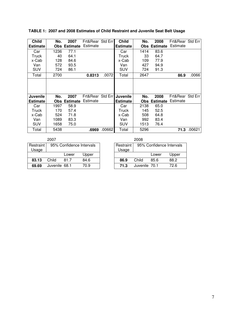| <b>Child</b><br><b>Estimate</b> | No.  | 2007<br><b>Obs Estimate</b> | Frt&Rear Std Err<br>Estimate |        | <b>Child</b><br><b>Estimate</b> | No.<br><b>Obs</b> | 2008<br><b>Estimate</b> | Frt&Rear Std Err<br>Estimate |        |
|---------------------------------|------|-----------------------------|------------------------------|--------|---------------------------------|-------------------|-------------------------|------------------------------|--------|
| Car                             | 1236 | 77.1                        |                              |        | Car                             | 1414              | 83.6                    |                              |        |
| Truck                           | 40   | 64.1                        |                              |        | Truck                           | 33                | 64.7                    |                              |        |
| x-Cab                           | 128  | 84.6                        |                              |        | x-Cab                           | 109               | 77.9                    |                              |        |
| Van                             | 572  | 93.5                        |                              |        | Van                             | 427               | 94.9                    |                              |        |
| <b>SUV</b>                      | 724  | 86.1                        |                              |        | <b>SUV</b>                      | 724               | 91.3                    |                              |        |
| Total                           | 2700 |                             | 0.8313                       | .0072  | Total                           | 2647              |                         | 86.9                         | .0066  |
|                                 |      |                             |                              |        |                                 |                   |                         |                              |        |
| Juvenile                        | No.  | 2007                        | Frt&Rear Std Err             |        | Juvenile                        | No.               | 2008                    | Frt&Rear Std Err             |        |
| <b>Estimate</b>                 |      | <b>Obs Estimate</b>         | Estimate                     |        | <b>Estimate</b>                 | <b>Obs</b>        | <b>Estimate</b>         | Estimate                     |        |
| Car                             | 1997 | 58.9                        |                              |        | Car                             | 2138              | 65.0                    |                              |        |
| Truck                           | 170  | 57.4                        |                              |        | Truck                           | 145               | 52.5                    |                              |        |
| x-Cab                           | 524  | 71.8                        |                              |        | x-Cab                           | 508               | 64.8                    |                              |        |
| Van                             | 1089 | 83.3                        |                              |        | Van                             | 992               | 83.4                    |                              |        |
| <b>SUV</b>                      | 1658 | 75.0                        |                              |        | SUV                             | 1513              | 76.4                    |                              |        |
| Total                           | 5438 |                             | .6969                        | .00662 | Total                           | 5296              |                         | 71.3                         | .00621 |

**TABLE 1: 2007 and 2008 Estimates of Child Restraint and Juvenile Seat Belt Usage** 

|                    | 2007          |                          |       |                    | 2008          |                          |       |
|--------------------|---------------|--------------------------|-------|--------------------|---------------|--------------------------|-------|
| Restraint<br>Usage |               | 95% Confidence Intervals |       | Restraint<br>Usage |               | 95% Confidence Intervals |       |
|                    |               | Lower                    | Upper |                    |               | Lower                    | Upper |
| 83.13              | Child         | 81 7                     | 84.6  | 86.9               | Child         | 85.6                     | 88.2  |
| 69.69              | Juvenile 68.1 |                          | 70.9  | 71.3               | Juvenile 70.1 |                          | 72.6  |

|                      | ----          |                          |       |
|----------------------|---------------|--------------------------|-------|
| Restraint<br>  Usage |               | 95% Confidence Intervals |       |
|                      |               |                          |       |
|                      |               | Lower                    | Upper |
| 86.9                 | Child         | 85.6                     | 88.2  |
| 71.3                 | Juvenile 70.1 |                          | 72.6  |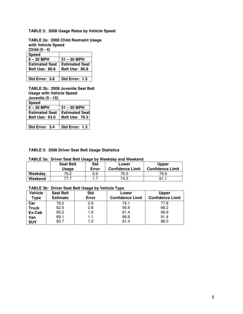#### **TABLE 2: 2008 Usage Rates by Vehicle Speed**

**TABLE 2a: 2008 Child Restraint Usage with Vehicle Speed** 

**Child (0 - 4)** 

| <b>Speed</b>          |                       |
|-----------------------|-----------------------|
| $0 - 30$ MPH          | $31 - 50$ MPH         |
| <b>Estimated Seat</b> | <b>Estimated Seat</b> |
| <b>Belt Use: 80.6</b> | <b>Belt Use: 86.8</b> |
|                       |                       |
| Std Error: 3.6        | Std Error: 1.3        |

**TABLE 2b: 2008 Juvenile Seat Belt Usage with Vehicle Speed Juvenile (5 - 15)** 

| <b>Speed</b>          |                       |
|-----------------------|-----------------------|
| $0 - 30$ MPH          | $31 - 50$ MPH         |
| <b>Estimated Seat</b> | <b>Estimated Seat</b> |
| <b>Belt Use: 63.0</b> | <b>Belt Use: 70.3</b> |
|                       |                       |
| Std Error: 3.4        | Std Error: 1.3        |

#### **TABLE 3: 2008 Driver Seat Belt Usage Statistics**

#### **TABLE 3a: Driver Seat Belt Usage by Weekday and Weekend**

|         | <b>Seat Belt</b><br>Usage | Std<br>Error | Lower<br><b>Confidence Limit</b> | <b>Upper</b><br><b>Confidence Limit</b> |
|---------|---------------------------|--------------|----------------------------------|-----------------------------------------|
| Weekday | 78.2                      | 0.9          | 76.5                             | 79.9                                    |
| Weekend |                           |              | 74.3                             |                                         |

#### **TABLE 3b: Driver Seat Belt Usage by Vehicle Type**

| Vehicle<br>Type | <b>Seat Belt</b><br><b>Estimate</b> | <b>Std</b><br>Error | Lower<br><b>Confidence Limit</b> | <b>Upper</b><br><b>Confidence Limit</b> |
|-----------------|-------------------------------------|---------------------|----------------------------------|-----------------------------------------|
| Car             | 76.0                                | 0.9                 | 74.1                             | 77.8                                    |
| <b>Truck</b>    | 62.5                                | 2.8                 | 56.9                             | 68.2                                    |
| Ex-Cab          | 65.2                                | 1.9                 | 61.4                             | 68.9                                    |
| Van             | 89.1                                | 1.1                 | 86.9                             | 91.4                                    |
| <b>SUV</b>      | 83.7                                | 1.2                 | 81.4                             | 86.0                                    |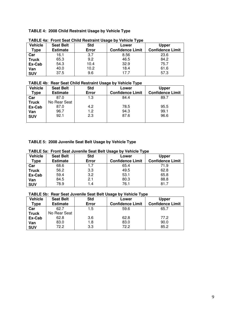#### **TABLE 4: 2008 Child Restraint Usage by Vehicle Type**

|              | . <b></b> .      |            |                         |                         |  |  |  |  |
|--------------|------------------|------------|-------------------------|-------------------------|--|--|--|--|
| Vehicle      | <b>Seat Belt</b> | <b>Std</b> | Lower                   | <b>Upper</b>            |  |  |  |  |
| Type         | <b>Estimate</b>  | Error      | <b>Confidence Limit</b> | <b>Confidence Limit</b> |  |  |  |  |
| Car          | 16.1             | 3.7        | 8.56                    | 23.6                    |  |  |  |  |
| <b>Truck</b> | 65.3             | 9.2        | 46.5                    | 84.2                    |  |  |  |  |
| Ex-Cab       | 54.3             | 10.4       | 32.9                    | 75.7                    |  |  |  |  |
| Van          | 40.0             | 10.2       | 18.4                    | 61.6                    |  |  |  |  |
| <b>SUV</b>   | 37.5             | 9.6        | 17.7                    | 57.3                    |  |  |  |  |
|              |                  |            |                         |                         |  |  |  |  |

**TABLE 4a: Front Seat Child Restraint Usage by Vehicle Type** 

#### **TABLE 4b**: **Rear Seat Child Restraint Usage by Vehicle Type**

| Vehicle      | <b>Seat Belt</b> | <b>Std</b> | Lower                   | <b>Upper</b>            |
|--------------|------------------|------------|-------------------------|-------------------------|
| Type         | <b>Estimate</b>  | Error      | <b>Confidence Limit</b> | <b>Confidence Limit</b> |
| Car          | 87.0             | 1.3        | 84.4                    | 89.7                    |
| <b>Truck</b> | No Rear Seat     |            |                         |                         |
| Ex-Cab       | 87.0             | 4.2        | 78.5                    | 95.5                    |
| Van          | 96.7             | 1.2        | 94.3                    | 99.1                    |
| <b>SUV</b>   | 92.1             | 2.3        | 87.6                    | 96.6                    |
|              |                  |            |                         |                         |

#### **TABLE 5: 2008 Juvenile Seat Belt Usage by Vehicle Type**

| TABLE 58. FIGHT SEAT JUVENIE SEAT BEIT USAGE BY VEHICLE TYPE |                  |            |                         |                         |  |  |
|--------------------------------------------------------------|------------------|------------|-------------------------|-------------------------|--|--|
| <b>Vehicle</b>                                               | <b>Seat Belt</b> | <b>Std</b> | Lower                   | <b>Upper</b>            |  |  |
| Tvpe                                                         | <b>Estimate</b>  | Error      | <b>Confidence Limit</b> | <b>Confidence Limit</b> |  |  |
| Car                                                          | 68.6             | 1.7        | 65.4                    | 71.9                    |  |  |
| <b>Truck</b>                                                 | 56.2             | 3.3        | 49.5                    | 62.8                    |  |  |
| Ex-Cab                                                       | 59.4             | 3.2        | 53.1                    | 65.8                    |  |  |
| Van                                                          | 84.5             | 2.1        | 80.3                    | 88.8                    |  |  |
| <b>SUV</b>                                                   | 78.9             | 1.4        | 76.1                    | 81.7                    |  |  |

**TABLE 5a: Front Seat Juvenile Seat Belt Usage by Vehicle Type** 

#### **TABLE 5b: Rear Seat Juvenile Seat Belt Usage by Vehicle Type**

| <b>Vehicle</b> | <b>Seat Belt</b> | <b>Std</b> | Lower                   | <b>Upper</b>            |
|----------------|------------------|------------|-------------------------|-------------------------|
| Type           | <b>Estimate</b>  | Error      | <b>Confidence Limit</b> | <b>Confidence Limit</b> |
| Car            | 62.7             | 1.5        | 59.6                    | 65.7                    |
| <b>Truck</b>   | No Rear Seat     |            |                         |                         |
| Ex-Cab         | 62.8             | 3.6        | 62.8                    | 77.2                    |
| Van            | 83.0             | 1.8        | 83.0                    | 90.0                    |
| <b>SUV</b>     | 72.2             | 3.3        | 72.2                    | 85.2                    |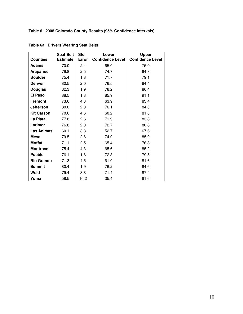**Table 6. 2008 Colorado County Results (95% Confidence Intervals)** 

|                   | <b>Seat Belt</b> | <b>Std</b> | Lower                   | <b>Upper</b>            |
|-------------------|------------------|------------|-------------------------|-------------------------|
| <b>Counties</b>   | <b>Estimate</b>  | Error      | <b>Confidence Level</b> | <b>Confidence Level</b> |
| <b>Adams</b>      | 70.0             | 2.4        | 65.0                    | 75.0                    |
| Arapahoe          | 79.8             | 2.5        | 74.7                    | 84.8                    |
| <b>Boulder</b>    | 75.4             | 1.8        | 71.7                    | 79.1                    |
| <b>Denver</b>     | 80.5             | 2.0        | 76.5                    | 84.4                    |
| <b>Douglas</b>    | 82.3             | 1.9        | 78.2                    | 86.4                    |
| <b>El Paso</b>    | 88.5             | 1.3        | 85.9                    | 91.1                    |
| <b>Fremont</b>    | 73.6             | 4.3        | 63.9                    | 83.4                    |
| <b>Jefferson</b>  | 80.0             | 2.0        | 76.1                    | 84.0                    |
| <b>Kit Carson</b> | 70.6             | 4.6        | 60.2                    | 81.0                    |
| La Plata          | 77.8             | 2.6        | 71.9                    | 83.8                    |
| Larimer           | 76.8             | 2.0        | 72.7                    | 80.8                    |
| <b>Las Animas</b> | 60.1             | 3.3        | 52.7                    | 67.6                    |
| <b>Mesa</b>       | 79.5             | 2.6        | 74.0                    | 85.0                    |
| <b>Moffat</b>     | 71.1             | 2.5        | 65.4                    | 76.8                    |
| <b>Montrose</b>   | 75.4             | 4.3        | 65.6                    | 85.2                    |
| <b>Pueblo</b>     | 76.1             | 1.6        | 72.8                    | 79.5                    |
| <b>Rio Grande</b> | 71.3             | 4.5        | 61.0                    | 81.6                    |
| <b>Summit</b>     | 80.4             | 1.9        | 76.2                    | 84.6                    |
| Weld              | 79.4             | 3.8        | 71.4                    | 87.4                    |
| Yuma              | 58.5             | 10.2       | 35.4                    | 81.6                    |

**Table 6a. Drivers Wearing Seat Belts**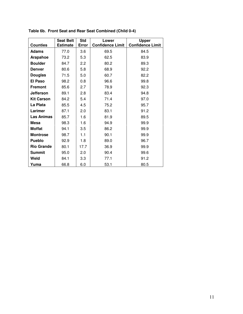|                   | <b>Seat Belt</b> | <b>Std</b> | Lower                   | <b>Upper</b>            |
|-------------------|------------------|------------|-------------------------|-------------------------|
| <b>Counties</b>   | <b>Estimate</b>  | Error      | <b>Confidence Limit</b> | <b>Confidence Limit</b> |
| <b>Adams</b>      | 77.0             | 3.6        | 69.5                    | 84.5                    |
| Arapahoe          | 73.2             | 5.3        | 62.5                    | 83.9                    |
| <b>Boulder</b>    | 84.7             | 2.2        | 80.2                    | 89.3                    |
| <b>Denver</b>     | 80.6             | 5.8        | 68.9                    | 92.2                    |
| <b>Douglas</b>    | 71.5             | 5.0        | 60.7                    | 82.2                    |
| <b>El Paso</b>    | 98.2             | 0.8        | 96.6                    | 99.8                    |
| <b>Fremont</b>    | 85.6             | 2.7        | 78.9                    | 92.3                    |
| <b>Jefferson</b>  | 89.1             | 2.8        | 83.4                    | 94.8                    |
| <b>Kit Carson</b> | 84.2             | 5.4        | 71.4                    | 97.0                    |
| La Plata          | 85.5             | 4.5        | 75.2                    | 95.7                    |
| Larimer           | 87.1             | 2.0        | 83.1                    | 91.2                    |
| <b>Las Animas</b> | 85.7             | 1.6        | 81.9                    | 89.5                    |
| Mesa              | 98.3             | 1.6        | 94.9                    | 99.9                    |
| <b>Moffat</b>     | 94.1             | 3.5        | 86.2                    | 99.9                    |
| <b>Montrose</b>   | 98.7             | 1.1        | 90.1                    | 99.9                    |
| <b>Pueblo</b>     | 92.9             | 1.8        | 89.0                    | 96.7                    |
| <b>Rio Grande</b> | 80.1             | 17.7       | 36.9                    | 99.9                    |
| <b>Summit</b>     | 95.0             | 2.0        | 90.4                    | 99.6                    |
| Weld              | 84.1             | 3.3        | 77.1                    | 91.2                    |
| Yuma              | 66.8             | 6.0        | 53.1                    | 80.5                    |

**Table 6b. Front Seat and Rear Seat Combined (Child 0-4)**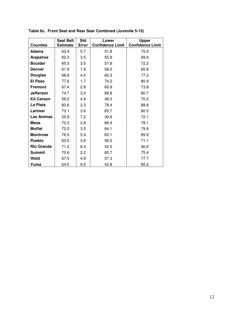|                   | <b>Seat Belt</b> | <b>Std</b> | Lower                   | <b>Upper</b>            |
|-------------------|------------------|------------|-------------------------|-------------------------|
| <b>Counties</b>   | <b>Estimate</b>  | Error      | <b>Confidence Limit</b> | <b>Confidence Limit</b> |
| <b>Adams</b>      | 63.4             | 5.7        | 51.8                    | 75.0                    |
| Arapahoe          | 62.3             | 3.5        | 55.9                    | 69.9                    |
| <b>Boulder</b>    | 65.0             | 3.5        | 57.8                    | 72.2                    |
| <b>Denver</b>     | 61.9             | 1.9        | 58.0                    | 65.8                    |
| <b>Douglas</b>    | 68.8             | 4.0        | 60.3                    | 77.2                    |
| <b>El Paso</b>    | 77.6             | 1.7        | 74.2                    | 80.9                    |
| <b>Fremont</b>    | 67.4             | 2.8        | 60.9                    | 73.8                    |
| <b>Jefferson</b>  | 74.7             | 3.0        | 68.8                    | 80.7                    |
| <b>Kit Carson</b> | 59.2             | 4.9        | 48.3                    | 70.2                    |
| La Plata          | 83.6             | 2.3        | 78.4                    | 88.8                    |
| Larimer           | 73.1             | 3.6        | 65.7                    | 80.5                    |
| <b>Las Animas</b> | 55.9             | 7.2        | 39.8                    | 72.1                    |
| Mesa              | 72.2             | 2.8        | 66.4                    | 78.1                    |
| <b>Moffat</b>     | 72.0             | 3.5        | 64.1                    | 79.9                    |
| <b>Montrose</b>   | 76.5             | 5.9        | 63.1                    | 89.9                    |
| <b>Pueblo</b>     | 63.5             | 3.6        | 56.0                    | 71.1                    |
| <b>Rio Grande</b> | 71.2             | 8.3        | 52.5                    | 90.0                    |
| <b>Summit</b>     | 70.6             | 2.2        | 65.7                    | 75.4                    |
| Weld              | 67.5             | 4.9        | 57.3                    | 77.7                    |
| Yuma              | 64.5             | 9.0        | 43.8                    | 85.2                    |

**Table 6c. Front Seat and Rear Sear Combined (Juvenile 5-15)**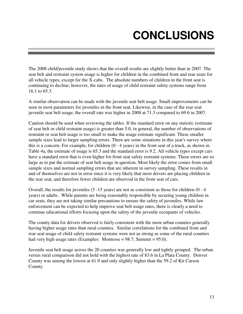# **CONCLUSIONS**

The 2008 child/juvenile study shows that the overall results are slightly better than in 2007. The seat belt and restraint system usage is higher for children in the combined front and rear seats for all vehicle types, except for the X-cabs. The absolute numbers of children in the front seat is continuing to decline; however, the rates of usage of child restraint safety systems range from 16.1 to 65.3.

A similar observation can be made with the juvenile seat belt usage. Small improvements can be seen in most parameters for juveniles in the front seat. Likewise, in the case of the rear seat juvenile seat belt usage, the overall rate was higher in 2008 at 71.3 compared to 69.6 in 2007.

Caution should be used when reviewing the tables. If the standard error on any statistic (estimate of seat belt or child restraint usage) is greater than 5.0, in general, the number of observations of restraint or seat belt usage is too small to make the usage estimate significant. These smaller sample sizes lead to larger sampling errors. There are some situations in this year's survey where this is a concern. For example, for children (0 - 4 years) in the front seat of a truck, as shown in Table 4a, the estimate of usage is 65.3 and the standard error is 9.2. All vehicle types except cars have a standard error that is even higher for front seat safety restraint systems. These errors are so large as to put the estimate of seat belt usage in question. Most likely the error comes from small sample sizes and normal sampling errors that are inherent in survey sampling. These results in and of themselves are not in error since it is very likely that most drivers are placing children in the rear seat, and therefore fewer children are observed in the front seat of cars.

Overall, the results for juveniles (5 -15 years) are not as consistent as those for children (0 - 4 years) or adults. While parents are being reasonably responsible by securing young children in car seats, they are not taking similar precautions to ensure the safety of juveniles. While law enforcement can be expected to help improve seat belt usage rates, there is clearly a need to continue educational efforts focusing upon the safety of the juvenile occupants of vehicles.

The county data for drivers observed is fairly consistent with the more urban counties generally having higher usage rates than rural counties. Similar correlations for the combined front and rear seat usage of child safety restraint systems were not as strong as some of the rural counties had very high usage rates (Examples: Montrose = 98.7; Summit = 95.0).

Juvenile seat belt usage across the 20 counties was generally low and tightly grouped. The urban versus rural comparison did not hold with the highest rate of 83.6 in La Plata County. Denver County was among the lowest at 61.9 and only slightly higher than the 59.2 of Kit Carson County.